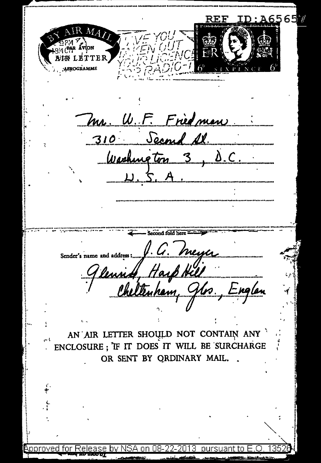D:A65657 Mл VÍON **DRLETTER** AEROGRAMME Mr. W.F. Friedman 310 Second Al Washington 3, D.C. Second fold here e and address. J. G. Meyer<br>Unied, Hayp Hill<br>Cheltenham, Jlrs., Englan Sender's name and address :... AN AIR LETTER SHOULD NOT CONTAIN ANY ENCLOSURE; IF IT DOES IT WILL BE SURCHARGE OR SENT BY ORDINARY MAIL. inroved for Release by nurei